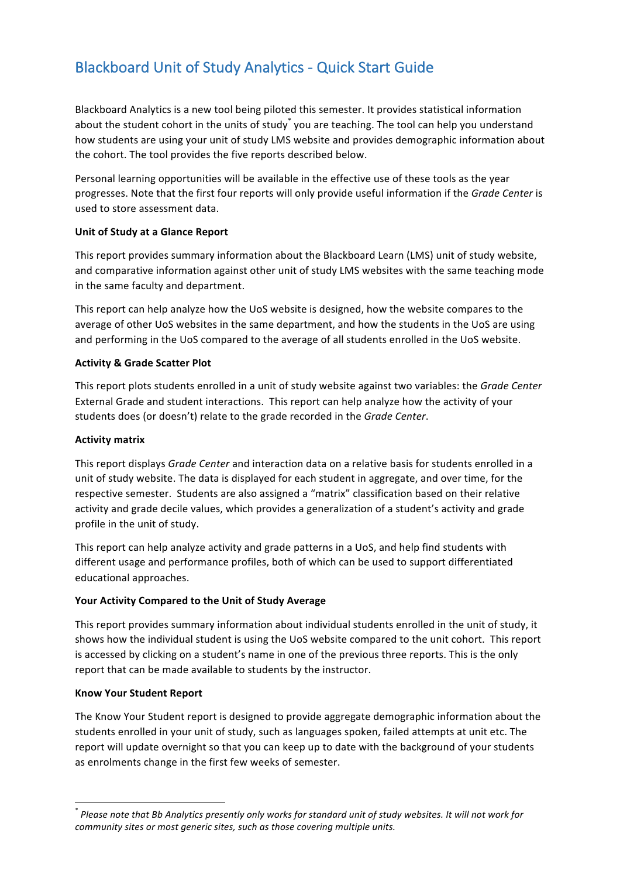# Blackboard Unit of Study Analytics - Quick Start Guide

Blackboard Analytics is a new tool being piloted this semester. It provides statistical information about the student cohort in the units of study<sup>\*</sup> you are teaching. The tool can help you understand how students are using your unit of study LMS website and provides demographic information about the cohort. The tool provides the five reports described below.

Personal learning opportunities will be available in the effective use of these tools as the year progresses. Note that the first four reports will only provide useful information if the *Grade Center* is used to store assessment data.

## **Unit of Study at a Glance Report**

This report provides summary information about the Blackboard Learn (LMS) unit of study website, and comparative information against other unit of study LMS websites with the same teaching mode in the same faculty and department.

This report can help analyze how the UoS website is designed, how the website compares to the average of other UoS websites in the same department, and how the students in the UoS are using and performing in the UoS compared to the average of all students enrolled in the UoS website.

#### **Activity & Grade Scatter Plot**

This report plots students enrolled in a unit of study website against two variables: the *Grade Center* External Grade and student interactions. This report can help analyze how the activity of your students does (or doesn't) relate to the grade recorded in the *Grade Center*.

#### **Activity matrix**

This report displays *Grade Center* and interaction data on a relative basis for students enrolled in a unit of study website. The data is displayed for each student in aggregate, and over time, for the respective semester. Students are also assigned a "matrix" classification based on their relative activity and grade decile values, which provides a generalization of a student's activity and grade profile in the unit of study.

This report can help analyze activity and grade patterns in a UoS, and help find students with different usage and performance profiles, both of which can be used to support differentiated educational approaches.

## Your Activity Compared to the Unit of Study Average

This report provides summary information about individual students enrolled in the unit of study, it shows how the individual student is using the UoS website compared to the unit cohort. This report is accessed by clicking on a student's name in one of the previous three reports. This is the only report that can be made available to students by the instructor.

#### **Know Your Student Report**

 

The Know Your Student report is designed to provide aggregate demographic information about the students enrolled in your unit of study, such as languages spoken, failed attempts at unit etc. The report will update overnight so that you can keep up to date with the background of your students as enrolments change in the first few weeks of semester.

 $\dot{\phantom{\phi}}$  *Please note that Bb Analytics presently only works for standard unit of study websites. It will not work for community sites or most generic sites, such as those covering multiple units.*